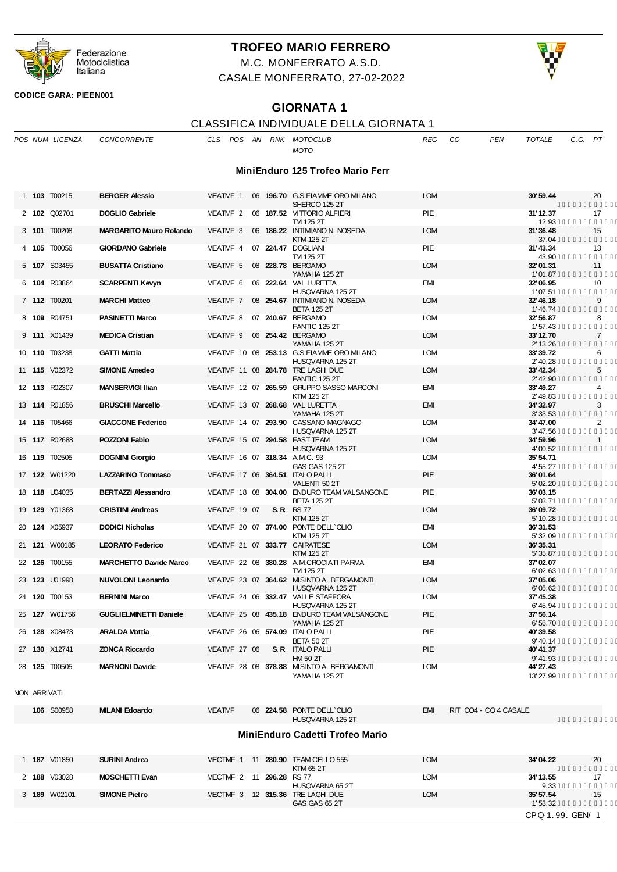

# **TROFEO MARIO FERRERO**

M.C. MONFERRATO A.S.D. CASALE MONFERRATO, 27-02-2022



**CODICE GARA: PIEEN001**

## **GIORNATA 1**

# CLASSIFICA INDIVIDUALE DELLA GIORNATA 1

|              | POS NUM LICENZA      | <b>CONCORRENTE</b>             | CLS                 | POS AN |                          | RNK MOTOCLUB<br><b>MOTO</b>                                      | <b>REG</b> | CO.<br><b>PEN</b>     | <b>TOTALE</b>               | C.G. PT        |
|--------------|----------------------|--------------------------------|---------------------|--------|--------------------------|------------------------------------------------------------------|------------|-----------------------|-----------------------------|----------------|
|              |                      |                                |                     |        |                          | MiniEnduro 125 Trofeo Mario Ferr                                 |            |                       |                             |                |
|              | 1 <b>103</b> T00215  | <b>BERGER Alessio</b>          | MEATMF 1            |        |                          | 06 196.70 G.S. FIAMME ORO MILANO<br>SHERCO 125 2T                | <b>LOM</b> |                       | 30'59.44                    | 20             |
|              | 2 102 Q02701         | <b>DOGLIO Gabriele</b>         | MEATMF 2            |        |                          | 06 187.52 VITTORIO ALFIERI<br>TM 125 2T                          | PIE        |                       | 31'12.37<br>12.93           | 17             |
|              | 3 101 T00208         | <b>MARGARITO Mauro Rolando</b> | MEATMF 3            |        |                          | 06 186.22 INTIMIANO N. NOSEDA<br><b>KTM 125 2T</b>               | <b>LOM</b> |                       | 31'36.48<br>37.04           | 15             |
|              | 4 105 T00056         | <b>GIORDANO Gabriele</b>       | MEATMF 4            |        |                          | 07 224.47 DOGLIANI<br>TM 125 2T                                  | PIE        |                       | 31'43.34<br>43.90           | 13             |
|              | 5 107 S03455         | <b>BUSATTA Cristiano</b>       | MEATMF 5            |        |                          | 08 228.78 BERGAMO<br>YAMAHA 125 2T                               | <b>LOM</b> |                       | 32'01.31<br>1'01.87         | 11             |
|              | 6 104 R03864         | <b>SCARPENTI Kevyn</b>         | MEATMF <sub>6</sub> |        |                          | 06 222.64 VAL LURETTA<br>HUSQVARNA 125 2T                        | EMI        |                       | 32'06.95<br>1'07.51         | 10             |
|              | 7 <b>112</b> T00201  | <b>MARCHI Matteo</b>           | MEATMF 7            |        |                          | 08 254.67 INTIMIANO N. NOSEDA<br><b>BETA 125 2T</b>              | <b>LOM</b> |                       | 32'46.18<br>1'46.74         | 9              |
|              | 8 109 R04751         | <b>PASINETTI Marco</b>         | MEATMF 8            |        |                          | 07 240.67 BERGAMO<br><b>FANTIC 125 2T</b>                        | <b>LOM</b> |                       | 32' 56.87<br>1'57.43        | 8              |
|              | 9 <b>111</b> X01439  | <b>MEDICA Cristian</b>         | MEATMF 9            |        |                          | 06 254.42 BERGAMO<br>YAMAHA 125 2T                               | <b>LOM</b> |                       | 33' 12.70<br>2' 13.26       | $\overline{7}$ |
|              | 10 <b>110</b> T03238 | <b>GATTI Mattia</b>            |                     |        |                          | MEATMF 10 08 253.13 G.S.FIAMME ORO MILANO<br>HUSQVARNA 125 2T    | <b>LOM</b> |                       | 33'39.72<br>2' 40.28        | 6              |
|              | 11 <b>115</b> V02372 | <b>SIMONE Amedeo</b>           |                     |        |                          | MEATMF 11 08 284.78 TRE LAGHI DUE<br><b>FANTIC 125 2T</b>        | <b>LOM</b> |                       | 33'42.34<br>2' 42.90        | 5              |
|              | 12 113 R02307        | <b>MANSERVIGI Ilian</b>        |                     |        |                          | MEATMF 12 07 265.59 GRUPPO SASSO MARCONI<br><b>KTM 125 2T</b>    | EMI        |                       | 33'49.27<br>2' 49.83        | 4              |
|              | 13 114 R01856        | <b>BRUSCHI Marcello</b>        |                     |        |                          | MEATMF 13 07 268.68 VAL LURETTA<br>YAMAHA 125 2T                 | <b>EMI</b> |                       | 34' 32.97<br>3' 33.53       | 3              |
|              | 14 <b>116</b> T05466 | <b>GIACCONE Federico</b>       |                     |        |                          | MEATMF 14 07 293.90 CASSANO MAGNAGO<br>HUSQVARNA 125 2T          | <b>LOM</b> |                       | 34' 47.00<br>3' 47.56       | 2              |
|              | 15 <b>117</b> R02688 | POZZONI Fabio                  |                     |        |                          | MEATMF 15 07 294.58 FAST TEAM<br>HUSQVARNA 125 2T                | <b>LOM</b> |                       | 34'59.96<br>4'00.52         | 1              |
|              | 16 <b>119</b> T02505 | <b>DOGNINI Giorgio</b>         |                     |        |                          | MEATMF 16 07 318.34 A.M.C. 93<br><b>GAS GAS 125 2T</b>           | <b>LOM</b> |                       | 35' 54.71<br>4' 55.27       |                |
|              | 17 <b>122</b> W01220 | <b>LAZZARINO Tommaso</b>       |                     |        |                          | MEATMF 17 06 364.51 ITALO PALLI<br>VALENTI 50 2T                 | PIE        |                       | 36'01.64<br>5'02.20         |                |
|              | 18 <b>118</b> U04035 | <b>BERTAZZI Alessandro</b>     |                     |        |                          | MEATMF 18 08 304.00 ENDURO TEAM VALSANGONE<br><b>BETA 125 2T</b> | PIE        |                       | 36'03.15<br>5'03.71         |                |
|              | 19 <b>129</b> Y01368 | <b>CRISTINI Andreas</b>        | MEATMF 19 07        |        |                          | <b>S.R.</b> RS77<br>KTM 125 2T                                   | <b>LOM</b> |                       | 36'09.72<br>5' 10.28        |                |
|              | 20 124 X05937        | <b>DODICI Nicholas</b>         |                     |        |                          | MEATMF 20 07 374.00 PONTE DELL`OLIO<br>KTM 125 2T                | EMI        |                       | 36'31.53<br>5' 32.09        |                |
|              | 21 121 W00185        | <b>LEORATO Federico</b>        |                     |        |                          | MEATMF 21 07 333.77 CAIRATESE<br><b>KTM 125 2T</b>               | <b>LOM</b> |                       | 36' 35.31<br>5' 35.87       |                |
| 22 126       | T00155               | <b>MARCHETTO Davide Marco</b>  |                     |        |                          | MEATMF 22 08 380.28 A.M.CROCIATI PARMA<br>TM 125 2T              | EMI        |                       | 37'02.07<br>6'02.63         |                |
|              | 23 <b>123</b> U01998 | <b>NUVOLONI Leonardo</b>       |                     |        |                          | MEATMF 23 07 364.62 MISINTO A. BERGAMONTI<br>HUSQVARNA 125 2T    | <b>LOM</b> |                       | 37'05.06<br>6'05.62         |                |
|              | 24 <b>120</b> T00153 | <b>BERNINI Marco</b>           |                     |        |                          | MEATMF 24 06 332.47 VALLE STAFFORA<br>HUSQVARNA 125 2T           | <b>LOM</b> |                       | 37'45.38<br>6' 45.94        |                |
|              | 25 127 W01756        | <b>GUGLIELMINETTI Daniele</b>  |                     |        |                          | MEATMF 25 08 435.18 ENDURO TEAM VALSANGONE<br>YAMAHA 125 2T      | PIE        |                       | 37'56.14<br>6'56.70         |                |
|              | 26 128 X08473        | <b>ARALDA Mattia</b>           |                     |        |                          | MEATMF 26 06 574.09 ITALO PALLI<br>BETA 50 2T                    | PIE        |                       | 40'39.58<br>9' 40.14        |                |
|              | 27 130 X12741        | <b>ZONCA Riccardo</b>          | MEATMF 27 06        |        |                          | S. R ITALO PALLI<br><b>HM 50 2T</b>                              | PIE        |                       | 40'41.37<br>9' 41.93        |                |
|              | 28 <b>125</b> T00505 | <b>MARNONI Davide</b>          |                     |        |                          | MEATMF 28 08 378.88 MISINTO A. BERGAMONTI<br>YAMAHA 125 2T       | <b>LOM</b> |                       | 44'27.43<br>13' 27.99       |                |
| NON ARRIVATI |                      |                                |                     |        |                          |                                                                  |            |                       |                             |                |
|              | 106 S00958           | <b>MILANI Edoardo</b>          | <b>MEATMF</b>       |        |                          | 06 224.58 PONTE DELL OLIO<br>HUSQVARNA 125 2T                    | EMI        | RIT CO4 - CO 4 CASALE |                             |                |
|              |                      |                                |                     |        |                          | MiniEnduro Cadetti Trofeo Mario                                  |            |                       |                             |                |
|              | 1 187 V01850         | <b>SURINI Andrea</b>           |                     |        |                          | MECTMF 1 11 280.90 TEAM CELLO 555                                | <b>LOM</b> |                       | 34'04.22                    | 20             |
|              | 2 188 V03028         | <b>MOSCHETTI Evan</b>          |                     |        | MECTMF 2 11 296.28 RS 77 | KTM 65 2T                                                        | <b>LOM</b> |                       | 34' 13.55                   | 17             |
|              | 3 189 W02101         | <b>SIMONE Pietro</b>           |                     |        |                          | HUSQVARNA 65 2T<br>MECTMF 3 12 315.36 TRE LAGHI DUE              | <b>LOM</b> |                       | 9.33<br>35' 57.54           | 15             |
|              |                      |                                |                     |        |                          | GAS GAS 65 2T                                                    |            |                       | 1'53.32<br>CPQ-1.99. GEN/ 1 |                |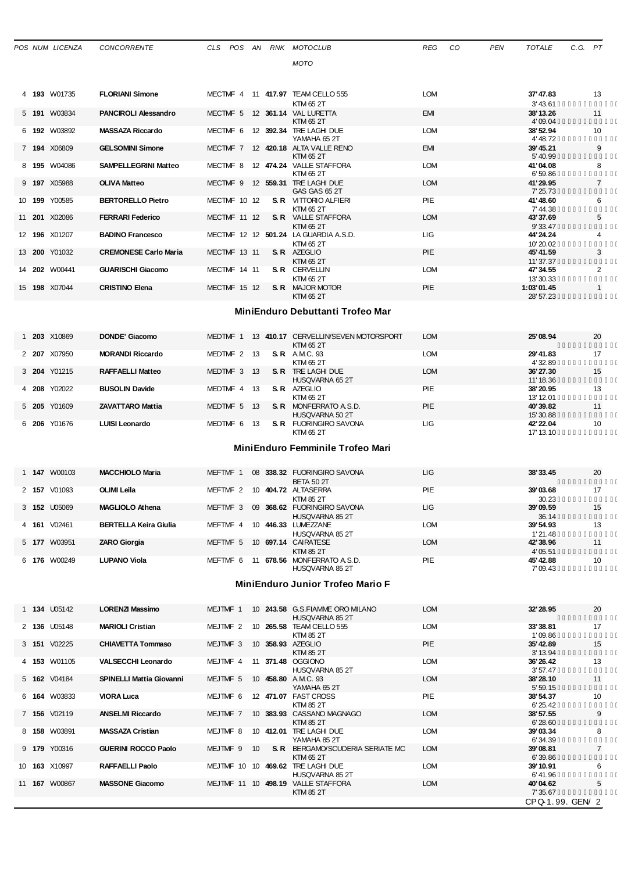|                                  | POS NUM LICENZA      | <b>CONCORRENTE</b>              |                     |  |    |  | CLS POS AN RNK MOTOCLUB                                    | REG        | CO | <b>PEN</b> | TOTALE                      | C.G. PT |                |
|----------------------------------|----------------------|---------------------------------|---------------------|--|----|--|------------------------------------------------------------|------------|----|------------|-----------------------------|---------|----------------|
|                                  |                      |                                 |                     |  |    |  | <b>MOTO</b>                                                |            |    |            |                             |         |                |
|                                  |                      |                                 |                     |  |    |  |                                                            |            |    |            |                             |         |                |
|                                  | 4 193 W01735         | <b>FLORIANI Simone</b>          |                     |  |    |  | MECTMF 4 11 417.97 TEAM CELLO 555<br><b>KTM 65 2T</b>      | <b>LOM</b> |    |            | 37' 47.83<br>3' 43.61       |         | 13             |
|                                  | 5 <b>191</b> W03834  | <b>PANCIROLI Alessandro</b>     |                     |  |    |  | MECTMF 5 12 361.14 VAL LURETTA<br>KTM 65 2T                | EMI        |    |            | 38'13.26<br>4'09.04         |         | 11             |
|                                  | 6 192 W03892         | <b>MASSAZA Riccardo</b>         | MECTMF <sub>6</sub> |  |    |  | 12 392.34 TRE LAGHI DUE<br>YAMAHA 652T                     | <b>LOM</b> |    |            | 38'52.94<br>4' 48.72        |         | 10             |
|                                  | 7 194 X06809         | <b>GELSOMINI Simone</b>         |                     |  |    |  | MECTMF 7 12 420.18 ALTA VALLE RENO<br>KTM 65 2T            | EMI        |    |            | 39' 45.21<br>5' 40.99       |         | 9              |
|                                  | 8 195 W04086         | <b>SAMPELLEGRINI Matteo</b>     | MECTMF 8            |  |    |  | 12 474.24 VALLE STAFFORA<br>KTM 65 2T                      | <b>LOM</b> |    |            | 41'04.08<br>6'59.86         |         | 8              |
|                                  | 9 197 X05988         | <b>OLIVA Matteo</b>             |                     |  |    |  | MECTMF 9 12 559.31 TRE LAGHI DUE<br>GAS GAS 65 2T          | <b>LOM</b> |    |            | 41'29.95<br>7' 25.73        |         | $\overline{7}$ |
|                                  | 10 <b>199</b> Y00585 | <b>BERTORELLO Pietro</b>        | MECTMF 10 12        |  |    |  | <b>S. R</b> VITTORIO ALFIERI<br>KTM 65 2T                  | PIE        |    |            | 41'48.60<br>7'44.38         |         | 6              |
|                                  | 11 <b>201</b> X02086 | <b>FERRARI Federico</b>         | MECTMF 11 12        |  |    |  | <b>S. R</b> VALLE STAFFORA<br><b>KTM 65 2T</b>             | <b>LOM</b> |    |            | 43' 37.69<br>9' 33.47       |         | 5              |
|                                  | 12 <b>196</b> X01207 | <b>BADINO Francesco</b>         |                     |  |    |  | MECTMF 12 12 501.24 LA GUARDIA A.S.D.<br>KTM 65 2T         | ЦG         |    |            | 44' 24.24<br>10'20.02       |         | 4              |
|                                  | 13 200 Y01032        | <b>CREMONESE Carlo Maria</b>    | MECTMF 13 11        |  |    |  | <b>S. R</b> AZEGLIO                                        | PIE        |    |            | 45' 41.59                   |         | 3              |
|                                  | 14 202 W00441        | <b>GUARISCHI Giacomo</b>        | MECTMF 14 11        |  |    |  | KTM 65 2T<br><b>S. R</b> CERVELLIN                         | <b>LOM</b> |    |            | 11'37.37<br>47' 34.55       |         | 2              |
|                                  | 15 <b>198</b> X07044 | <b>CRISTINO Elena</b>           | MECTMF 15 12        |  |    |  | KTM 65 2T<br><b>S. R MAJOR MOTOR</b>                       | PIE        |    |            | 13' 30.33<br>1:03'01.45     |         | 1              |
|                                  |                      |                                 |                     |  |    |  | KTM 65 2T                                                  |            |    |            | 28' 57.23                   |         |                |
| MiniEnduro Debuttanti Trofeo Mar |                      |                                 |                     |  |    |  |                                                            |            |    |            |                             |         |                |
|                                  | 1 203 X10869         | <b>DONDE' Giacomo</b>           |                     |  |    |  | MEDTMF 1 13 410.17 CERVELLIN/SEVEN MOTORSPORT<br>KTM 65 2T | <b>LOM</b> |    |            | 25'08.94                    |         | 20             |
|                                  | 2 <b>207</b> X07950  | <b>MORANDI Riccardo</b>         | MEDTMF 2            |  | 13 |  | <b>S.R.</b> AMC. 93<br>KTM 65 2T                           | <b>LOM</b> |    |            | 29' 41.83<br>4'32.89        |         | 17             |
|                                  | 3 204 Y01215         | <b>RAFFAELLI Matteo</b>         | MEDTMF 3 13         |  |    |  | S. R TRE LAGHI DUE                                         | <b>LOM</b> |    |            | 36'27.30                    |         | 15             |
|                                  | 4 208 Y02022         | <b>BUSOLIN Davide</b>           | MEDTMF 4 13         |  |    |  | HUSQVARNA 65 2T<br><b>S. R</b> AZEGLIO                     | PIE        |    |            | 11' 18.36<br>38'20.95       |         | 13             |
| 5 205                            | Y01609               | <b>ZAVATTARO Mattia</b>         | MEDTMF 5 13         |  |    |  | KTM 65 2T<br><b>S. R MONFERRATO A. S.D.</b>                | PIE        |    |            | 13' 12.01<br>40'39.82       |         | 11             |
|                                  | 6 206 Y01676         | <b>LUISI Leonardo</b>           | MEDTMF 6 13         |  |    |  | HUSQVARNA 50 2T<br><b>S. R</b> FUORINGIRO SAVONA           | ЦG         |    |            | 15'30.88<br>42' 22.04       |         | 10             |
|                                  |                      |                                 |                     |  |    |  | KTM 65 2T                                                  |            |    |            | 17' 13.10                   |         |                |
| MiniEnduro Femminile Trofeo Mari |                      |                                 |                     |  |    |  |                                                            |            |    |            |                             |         |                |
|                                  | 1 <b>147</b> W00103  | <b>MACCHIOLO Maria</b>          | MEFTMF 1            |  |    |  | 08 338.32 FUORINGIRO SAVONA<br><b>BETA 50 2T</b>           | ЦG         |    |            | 38' 33.45                   |         | 20             |
|                                  | 2 157 V01093         | <b>OLIMI Leila</b>              | MEFTMF 2            |  |    |  | 10 404.72 ALTASERRA                                        | PIE        |    |            | 39'03.68                    |         | 17             |
|                                  | 3 152 U05069         | MAGLIOLO Athena                 |                     |  |    |  | <b>KTM 85 2T</b><br>MEFTMF 3 09 368.62 FUORINGIRO SAVONA   | ЦG         |    |            | 30.23<br>39'09.59           |         | 15             |
|                                  | 4 161 V02461         | <b>BERTELLA Keira Giulia</b>    |                     |  |    |  | HUSQVARNA 85 2T<br>MEFTMF 4 10 446.33 LUMEZZANE            | <b>LOM</b> |    |            | 36.14<br>39'54.93           |         | 13             |
|                                  | 5 177 W03951         | <b>ZARO Giorgia</b>             | MEFTMF 5            |  |    |  | HUSQVARNA 85 2T<br>10 697.14 CAIRATESE                     | <b>LOM</b> |    |            | 1'21.48<br>42' 38.96        |         | 11             |
|                                  | 6 176 W00249         | LUPANO Viola                    |                     |  |    |  | <b>KTM 85 2T</b><br>MEFTMF 6 11 678.56 MONFERRATO A.S.D.   | PIE        |    |            | 4'05.51<br>45' 42.88        |         | 10             |
|                                  |                      |                                 |                     |  |    |  | HUSQVARNA 85 2T                                            |            |    |            | 7'09.43                     |         |                |
|                                  |                      |                                 |                     |  |    |  | MiniEnduro Junior Trofeo Mario F                           |            |    |            |                             |         |                |
|                                  | 1 <b>134</b> U05142  | LORENZI Massimo                 | MEJTMF 1            |  |    |  | 10 243.58 G.S. FIAMME ORO MILANO<br>HUSQVARNA 85 2T        | <b>LOM</b> |    |            | 32' 28.95                   |         | 20             |
|                                  | 2 136 U05148         | <b>MARIOLI Cristian</b>         | MEJTMF 2            |  |    |  | 10 265.58 TEAM CELLO 555                                   | <b>LOM</b> |    |            | 33'38.81                    |         | 17             |
|                                  | 3 151 V02225         | <b>CHIAVETTA Tommaso</b>        | MEJTMF 3            |  |    |  | <b>KTM 85 2T</b><br>10 358.93 AZEGLIO                      | PIE        |    |            | 1'09.86<br>35'42.89         |         | 15             |
|                                  | 4 153 W01105         | <b>VALSECCHI Leonardo</b>       | MEJTMF 4            |  |    |  | <b>KTM 85 2T</b><br>11 371.48 OGGIONO                      | <b>LOM</b> |    |            | 3' 13.94<br>36'26.42        |         | 13             |
|                                  | 5 162 V04184         | <b>SPINELLI Mattia Giovanni</b> | MEJTMF 5            |  |    |  | HUSQVARNA 85 2T<br>10 458.80 A.M.C. 93                     | <b>LOM</b> |    |            | 3'57.47<br>38'28.10         |         | 11             |
|                                  | 6 164 W03833         | <b>VIORA Luca</b>               | MEJTMF 6            |  |    |  | YAMAHA 65 2T<br>12 471.07 FAST CROSS                       | PIE        |    |            | 5'59.15<br>38'54.37         |         | 10             |
|                                  | 7 156 V02119         | <b>ANSELMI Riccardo</b>         | MEJTMF 7            |  |    |  | KTM 85 2T<br>10 383.93 CASSANO MAGNAGO                     | <b>LOM</b> |    |            | 6' 25.42<br>38'57.55        |         | 9              |
|                                  | 8 158 W03891         | <b>MASSAZA Cristian</b>         | MEJTMF 8            |  |    |  | <b>KTM 85 2T</b><br>10 412.01 TRE LAGHI DUE                | <b>LOM</b> |    |            | 6'28.60<br>39'03.34         |         | 8              |
|                                  | 9 179 Y00316         | <b>GUERINI ROCCO Paolo</b>      | MEJTMF 9            |  | 10 |  | YAMAHA 85 2T<br>S. R BERGAMO/SCUDERIA SERIATE MC           | <b>LOM</b> |    |            | 6'34.39<br>39'08.81         |         | 7              |
|                                  | 10 <b>163</b> X10997 | RAFFAELLI Paolo                 |                     |  |    |  | KTM 65 2T<br>MEJTMF 10 10 469.62 TRE LAGHI DUE             | <b>LOM</b> |    |            | 6'39.86<br>39' 10.91        |         | 6              |
|                                  | 11 <b>167</b> W00867 | <b>MASSONE Giacomo</b>          |                     |  |    |  | HUSQVARNA 85 2T<br>MEJTMF 11 10 498.19 VALLE STAFFORA      | <b>LOM</b> |    |            | 6'41.96<br>40'04.62         |         | 5              |
|                                  |                      |                                 |                     |  |    |  | <b>KTM 85 2T</b>                                           |            |    |            | 7' 35.67<br>CPQ 1.99. GEN 2 |         |                |
|                                  |                      |                                 |                     |  |    |  |                                                            |            |    |            |                             |         |                |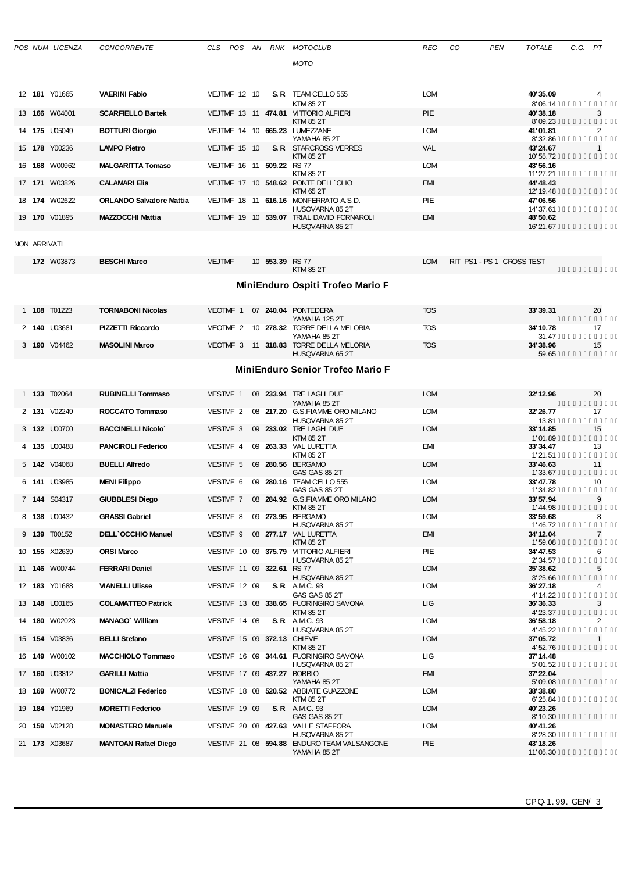|   |                                         | POS NUM LICENZA      | <b>CONCORRENTE</b>              | CLS                 |  |  |                           | POS AN RNK MOTOCLUB                                           | <b>REG</b> | <b>PEN</b><br>CO          | <b>TOTALE</b>          | C.G. PT |                |
|---|-----------------------------------------|----------------------|---------------------------------|---------------------|--|--|---------------------------|---------------------------------------------------------------|------------|---------------------------|------------------------|---------|----------------|
|   |                                         |                      |                                 |                     |  |  |                           | <b>MOTO</b>                                                   |            |                           |                        |         |                |
|   |                                         |                      |                                 |                     |  |  |                           |                                                               |            |                           |                        |         |                |
|   |                                         | 12 181 Y01665        | <b>VAERINI Fabio</b>            | MEJTMF 12 10        |  |  |                           | S. R TEAM CELLO 555                                           | <b>LOM</b> |                           | 40'35.09               |         | 4              |
|   |                                         | 13 <b>166</b> W04001 | <b>SCARFIELLO Bartek</b>        |                     |  |  |                           | KTM 85 2T<br>MEJTMF 13 11 474.81 VITTORIO ALFIERI             | PIE        |                           | 8'06.14<br>40'38.18    |         | 3              |
|   |                                         | 14 175 U05049        | <b>BOTTURI Giorgio</b>          |                     |  |  |                           | KTM 85 2T<br>MEJTMF 14 10 665.23 LUMEZZANE                    | <b>LOM</b> |                           | 8'09.23<br>41'01.81    |         | 2              |
|   |                                         | 15 <b>178</b> Y00236 | LAMPO Pietro                    | MEJTMF 15 10        |  |  |                           | YAMAHA 85 2T<br><b>S. R</b> STARCROSS VERRES                  | <b>VAL</b> |                           | 8'32.86<br>43'24.67    |         | $\mathbf{1}$   |
|   |                                         | 16 <b>168</b> W00962 | <b>MALGARITTA Tomaso</b>        |                     |  |  | MEJTMF 16 11 509.22 RS 77 | KTM 85 2T                                                     | <b>LOM</b> |                           | 10'55.72<br>43'56.16   |         |                |
|   |                                         |                      |                                 |                     |  |  |                           | <b>KTM 85 2T</b>                                              |            |                           | 11'27.21               |         |                |
|   |                                         | 17 171 W03826        | <b>CALAMARI Elia</b>            |                     |  |  |                           | MEJTMF 17 10 548.62 PONTE DELL'OLIO<br>KTM 65 2T              | <b>EMI</b> |                           | 44' 48.43<br>12' 19.48 |         |                |
|   |                                         | 18 <b>174</b> W02622 | <b>ORLANDO Salvatore Mattia</b> |                     |  |  |                           | MEJTMF 18 11 616.16 MONFERRATO A S.D.<br>HUSQVARNA 85 2T      | PIE        |                           | 47'06.56<br>14' 37.61  |         |                |
|   |                                         | 19 170 V01895        | <b>MAZZOCCHI Mattia</b>         |                     |  |  |                           | MEJTMF 19 10 539.07 TRIAL DAVID FORNAROLI<br>HUSQVARNA 85 2T  | <b>EMI</b> |                           | 48'50.62<br>16'21.67   |         |                |
|   | NON ARRIVATI                            |                      |                                 |                     |  |  |                           |                                                               |            |                           |                        |         |                |
|   |                                         | <b>172 W03873</b>    | <b>BESCHI Marco</b>             |                     |  |  |                           |                                                               |            |                           |                        |         |                |
|   |                                         |                      |                                 | <b>MEJTMF</b>       |  |  | 10 553.39 RS 77           | <b>KTM 85 2T</b>                                              | <b>LOM</b> | RIT PS1 - PS 1 CROSS TEST |                        |         |                |
|   | MiniEnduro Ospiti Trofeo Mario F        |                      |                                 |                     |  |  |                           |                                                               |            |                           |                        |         |                |
|   |                                         |                      |                                 |                     |  |  |                           |                                                               |            |                           |                        |         |                |
|   |                                         | 1 108 T01223         | <b>TORNABONI Nicolas</b>        |                     |  |  |                           | MEOTMF 1 07 240.04 PONTEDERA<br>YAMAHA 125 2T                 | <b>TOS</b> |                           | 33'39.31               |         | 20             |
|   |                                         | 2 140 U03681         | <b>PIZZETTI Riccardo</b>        | MEOTMF <sub>2</sub> |  |  |                           | 10 278.32 TORRE DELLA MELORIA<br>YAMAHA 85 2T                 | <b>TOS</b> |                           | 34' 10.78<br>31.47     |         | 17             |
|   |                                         | 3 190 V04462         | <b>MASOLINI Marco</b>           |                     |  |  |                           | MEOTMF 3 11 318.83 TORRE DELLA MELORIA<br>HUSQVARNA 65 2T     | <b>TOS</b> |                           | 34'38.96<br>59.65      |         | 15             |
|   | <b>MiniEnduro Senior Trofeo Mario F</b> |                      |                                 |                     |  |  |                           |                                                               |            |                           |                        |         |                |
|   |                                         |                      |                                 |                     |  |  |                           |                                                               |            |                           |                        |         |                |
|   |                                         | 1 133 T02064         | <b>RUBINELLI Tommaso</b>        | MESTMF 1            |  |  |                           | 08 233.94 TRE LAGHI DUE<br>YAMAHA 85 2T                       | <b>LOM</b> |                           | 32' 12.96              |         | 20             |
|   |                                         | 2 131 V02249         | ROCCATO Tommaso                 | MESTMF 2            |  |  |                           | 08 217.20 G.S.FIAMME ORO MILANO                               | <b>LOM</b> |                           | 32' 26.77              |         | 17             |
|   |                                         | 3 132 U00700         | <b>BACCINELLI Nicolo</b>        | MESTMF 3            |  |  |                           | HUSQVARNA 85 2T<br>09 233.02 TRE LAGHI DUE                    | <b>LOM</b> |                           | 13.81<br>33'14.85      |         | 15             |
|   |                                         | 4 135 U00488         | <b>PANCIROLI Federico</b>       | MESTMF 4            |  |  |                           | KTM 85 2T<br>09 263.33 VAL LURETTA                            | EMI        |                           | 1'01.89<br>33' 34.47   |         | 13             |
|   |                                         | 5 <b>142</b> V04068  | <b>BUELLI Alfredo</b>           | MESTMF 5            |  |  |                           | <b>KTM 85 2T</b><br>09 280.56 BERGAMO                         | <b>LOM</b> |                           | 1'21.51<br>33'46.63    |         | 11             |
| 6 |                                         | <b>141 U03985</b>    | <b>MENI Filippo</b>             | MESTMF 6            |  |  |                           | <b>GAS GAS 85 2T</b><br>09 280.16 TEAM CELLO 555              | <b>LOM</b> |                           | 1'33.67<br>33'47.78    |         | 10             |
|   |                                         | 7 144 S04317         | <b>GIUBBLESI Diego</b>          | MESTMF 7            |  |  |                           | GAS GAS 85 2T<br>08 284.92 G.S.FIAMME ORO MILANO              | <b>LOM</b> |                           | 1'34.82<br>33' 57.94   |         | 9              |
|   |                                         |                      |                                 |                     |  |  |                           | KTM 85 2T                                                     |            |                           | 1'44.98                |         |                |
|   |                                         | 8 138 U00432         | <b>GRASSI Gabriel</b>           |                     |  |  |                           | MESTMF 8 09 273.95 BERGAMO<br>HUSQVARNA 85 2T                 | <b>LOM</b> |                           | 33'59.68<br>1'46.72    |         | 8              |
|   |                                         | 9 139 T00152         | <b>DELL'OCCHIO Manuel</b>       | MESTMF 9            |  |  |                           | 08 277.17 VAL LURETTA<br><b>KTM 85 2T</b>                     | EMI        |                           | 34' 12.04<br>1'59.08   |         | $\overline{7}$ |
|   |                                         | 10 <b>155</b> X02639 | <b>ORSI Marco</b>               |                     |  |  |                           | MESTMF 10 09 375.79 VITTORIO ALFIERI<br>HUSQVARNA 85 2T       | PIE        |                           | 34'47.53<br>2'34.57    |         | 6              |
|   |                                         | 11 <b>146</b> W00744 | <b>FERRARI Daniel</b>           |                     |  |  | MESTMF 11 09 322.61       | <b>RS 77</b><br>HUSQVARNA 85 2T                               | <b>LOM</b> |                           | 35'38.62<br>3'25.66    |         | 5              |
|   |                                         | 12 183 Y01688        | <b>VIANELLI Ulisse</b>          | MESTMF 12 09        |  |  |                           | <b>S.R.</b> A.M.C. 93                                         | <b>LOM</b> |                           | 36' 27.18              |         | 4              |
|   |                                         | 13 <b>148 U00165</b> | <b>COLAMATTEO Patrick</b>       |                     |  |  |                           | <b>GAS GAS 85 2T</b><br>MESTMF 13 08 338.65 FUORINGIRO SAVONA | ЦG         |                           | 4' 14.22<br>36' 36.33  |         | 3              |
|   |                                         | 14 180 W02023        | <b>MANAGO</b> William           | MESTMF 14 08        |  |  |                           | KTM 85 2T<br><b>S.R.</b> A.M.C. 93                            | LOM        |                           | 4' 23.37<br>36'58.18   |         | 2              |
|   |                                         | 15 <b>154</b> V03836 | <b>BELLI Stefano</b>            |                     |  |  |                           | HUSQVARNA 85 2T<br>MESTMF 15 09 372.13 CHIEVE                 | <b>LOM</b> |                           | 4' 45.22<br>37'05.72   |         | $\mathbf{1}$   |
|   |                                         | 16 <b>149</b> W00102 | <b>MACCHIOLO Tommaso</b>        |                     |  |  |                           | <b>KTM 85 2T</b><br>MESTMF 16 09 344.61 FUORINGIRO SAVONA     | ЦG         |                           | 4' 52.76<br>37' 14.48  |         |                |
|   |                                         |                      |                                 |                     |  |  |                           | HUSQVARNA 85 2T                                               |            |                           | 5'01.52                |         |                |
|   |                                         | 17 160 U03812        | <b>GARILLI Mattia</b>           |                     |  |  |                           | MESTMF 17 09 437.27 BOBBIO<br>YAMAHA 85 2T                    | EMI        |                           | 37' 22.04<br>5'09.08   |         |                |
|   |                                         | 18 <b>169</b> W00772 | <b>BONICALZI Federico</b>       |                     |  |  |                           | MESTMF 18 08 520.52 ABBIATE GUAZZONE<br>KTM 85 2T             | <b>LOM</b> |                           | 38'38.80<br>6'25.84    |         |                |
|   |                                         | 19 184 Y01969        | <b>MORETTI Federico</b>         | MESTMF 19 09        |  |  |                           | <b>S.R.</b> A.M.C. 93<br>GAS GAS 85 2T                        | <b>LOM</b> |                           | 40'23.26<br>8' 10.30   |         |                |
|   |                                         | 20 159 V02128        | <b>MONASTERO Manuele</b>        |                     |  |  |                           | MESTMF 20 08 427.63 VALLE STAFFORA<br>HUSQVARNA 85 2T         | LOM        |                           | 40'41.26<br>8'28.30    |         |                |
|   |                                         | 21 173 X03687        | <b>MANTOAN Rafael Diego</b>     |                     |  |  |                           | MESTMF 21 08 594.88 ENDURO TEAM VALSANGONE                    | PIE        |                           | 43' 18.26              |         |                |
|   |                                         |                      |                                 |                     |  |  |                           | YAMAHA 85 2T                                                  |            |                           | 11'05.30               |         |                |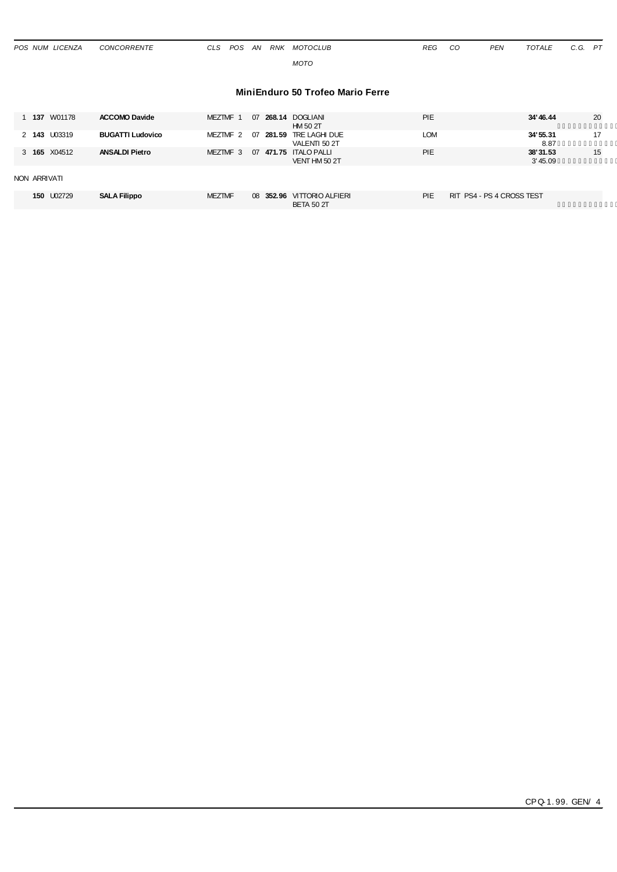| POS NUM LICENZA | CONCORRENTE | CLS POS AN |  | RNK MOTOCLUB | <b>REG</b> | CO | <b>PEN</b> | TOTALE | C.G. PT |  |
|-----------------|-------------|------------|--|--------------|------------|----|------------|--------|---------|--|
|                 |             |            |  | <b>MOTO</b>  |            |    |            |        |         |  |
|                 |             |            |  |              |            |    |            |        |         |  |

### **MiniEnduro 50 Trofeo Mario Ferre**

| <b>PIE</b><br>W01178<br><b>ACCOMO Davide</b><br>MEZTMF 1<br>268.14 DOGLIANI<br>1 137<br>07<br>HM 50 2T                                    | 20<br>34'46.44<br>17<br>34'55.31 |
|-------------------------------------------------------------------------------------------------------------------------------------------|----------------------------------|
|                                                                                                                                           |                                  |
| 2 143 U03319<br><b>LOM</b><br><b>BUGATTI Ludovico</b><br>07<br>MEZTMF 2<br>281.59 TRE LAGHI DUE<br>VALENTI 50 2T                          | 8.87                             |
| <b>PIE</b><br>3 <b>165</b> X04512<br><b>ANSALDI Pietro</b><br>07<br>471.75 ITALO PALLI<br>MEZTMF 3<br>VENT HM 50 2T                       | 15<br>38'31.53<br>3' 45.09       |
| NON ARRIVATI                                                                                                                              |                                  |
| 150 U02729<br>PIE<br>RIT PS4 - PS 4 CROSS TEST<br><b>MEZTMF</b><br><b>SALA Filippo</b><br>08 352.96 VITTORIO ALFIERI<br><b>BETA 50 2T</b> |                                  |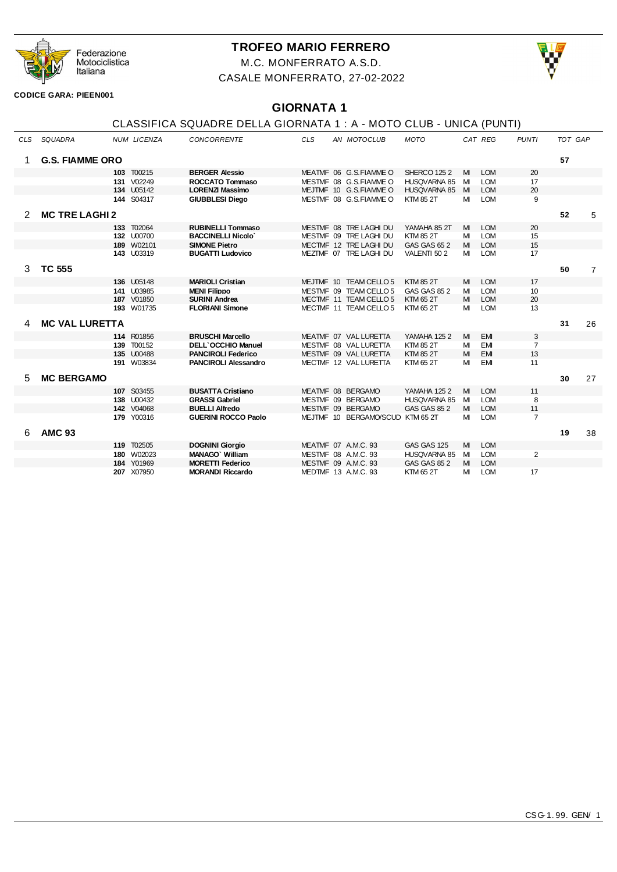

# **TROFEO MARIO FERRERO**

M.C. MONFERRATO A.S.D. CASALE MONFERRATO, 27-02-2022



**CODICE GARA: PIEEN001**

# **GIORNATA 1**

# CLASSIFICA SQUADRE DELLA GIORNATA 1 : A - MOTO CLUB - UNICA (PUNTI)

| <b>CLS</b> | SQUADRA                |     | <b>NUM LICENZA</b> | <b>CONCORRENTE</b>          | <b>CLS</b> | AN MOTOCLUB            | <b>MOTO</b>         |   | CAT REG    | <b>PUNTI</b>   | TOT GAP |                |
|------------|------------------------|-----|--------------------|-----------------------------|------------|------------------------|---------------------|---|------------|----------------|---------|----------------|
| 1.         | <b>G.S. FIAMME ORO</b> |     |                    |                             |            |                        |                     |   |            |                | 57      |                |
|            |                        |     | 103 T00215         | <b>BERGER Alessio</b>       |            | MEATMF 06 G.S.FIAMME O | <b>SHERCO 125 2</b> | M | <b>LOM</b> | 20             |         |                |
|            |                        | 131 | V02249             | ROCCATO Tommaso             |            | MESTMF 08 G.S.FIAMMEO  | <b>HUSQVARNA 85</b> | M | <b>LOM</b> | 17             |         |                |
|            |                        |     | <b>134 U05142</b>  | <b>LORENZI Massimo</b>      |            | MEJTMF 10 G.S.FIAMME O | <b>HUSQVARNA 85</b> | M | <b>LOM</b> | 20             |         |                |
|            |                        |     | <b>144 S04317</b>  | <b>GIUBBLESI Diego</b>      |            | MESTMF 08 G.S.FIAMME O | <b>KTM 85 2T</b>    | м | <b>LOM</b> | 9              |         |                |
|            | <b>MC TRE LAGHI 2</b>  |     |                    |                             |            |                        |                     |   |            |                | 52      | 5              |
|            |                        | 133 | T02064             | <b>RUBINELLI Tommaso</b>    |            | MESTMF 08 TRE LAGHI DU | YAMAHA 85 2T        | M | <b>LOM</b> | 20             |         |                |
|            |                        |     | 132 U00700         | <b>BACCINELLI Nicolo</b>    |            | MESTMF 09 TRE LAGHI DU | <b>KTM 85 2T</b>    | M | <b>LOM</b> | 15             |         |                |
|            |                        |     | 189 W02101         | <b>SIMONE Pietro</b>        |            | MECTMF 12 TRE LAGHI DU | GAS GAS 65 2        | M | <b>LOM</b> | 15             |         |                |
|            |                        |     | <b>143 U03319</b>  | <b>BUGATTI Ludovico</b>     |            | MEZTMF 07 TRE LAGHI DU | VALENTI 502         | м | <b>LOM</b> | 17             |         |                |
| 3          | <b>TC 555</b>          |     |                    |                             |            |                        |                     |   |            |                | 50      | $\overline{7}$ |
|            |                        |     | 136 U05148         | <b>MARIOLI Cristian</b>     |            | MEJTMF 10 TEAM CELLO 5 | <b>KTM 85 2T</b>    | M | <b>LOM</b> | 17             |         |                |
|            |                        |     | 141 U03985         | <b>MENI Filippo</b>         |            | MESTMF 09 TEAM CELLO 5 | GAS GAS 85 2        | M | <b>LOM</b> | 10             |         |                |
|            |                        |     | 187 V01850         | <b>SURINI Andrea</b>        |            | MECTMF 11 TEAM CELLO 5 | KTM 65 2T           | М | <b>LOM</b> | 20             |         |                |
|            |                        |     | <b>193</b> W01735  | <b>FLORIANI Simone</b>      |            | MECTMF 11 TEAM CELLO 5 | KTM 65 2T           | м | <b>LOM</b> | 13             |         |                |
|            | <b>MC VAL LURETTA</b>  |     |                    |                             |            |                        |                     |   |            |                | 31      | 26             |
|            |                        |     | 114 R01856         | <b>BRUSCHI Marcello</b>     |            | MEATMF 07 VAL LURETTA  | <b>YAMAHA 1252</b>  | M | <b>EM</b>  | 3              |         |                |
|            |                        | 139 | T00152             | <b>DELL'OCCHIO Manuel</b>   |            | MESTMF 08 VAL LURETTA  | <b>KTM 85 2T</b>    | M | <b>EM</b>  | $\overline{7}$ |         |                |
|            |                        |     | 135 U00488         | <b>PANCIROLI Federico</b>   |            | MESTMF 09 VAL LURETTA  | <b>KTM 85 2T</b>    | M | <b>EM</b>  | 13             |         |                |
|            |                        |     | <b>191</b> W03834  | <b>PANCIROLI Alessandro</b> |            | MECTMF 12 VAL LURETTA  | <b>KTM 65 2T</b>    | M | <b>EM</b>  | 11             |         |                |
| 5.         | <b>MC BERGAMO</b>      |     |                    |                             |            |                        |                     |   |            |                | 30      | 27             |
|            |                        |     | 107 S03455         | <b>BUSATTA Cristiano</b>    |            | MEATMF 08 BERGAMO      | <b>YAMAHA 1252</b>  | M | <b>LOM</b> | 11             |         |                |
|            |                        |     | <b>138 U00432</b>  | <b>GRASSI Gabriel</b>       |            | MESTMF 09 BERGAMO      | <b>HUSQVARNA 85</b> | М | <b>LOM</b> | 8              |         |                |
|            |                        |     | <b>142 V04068</b>  | <b>BUELLI Alfredo</b>       |            | MESTMF 09 BERGAMO      | <b>GAS GAS 85 2</b> | м | <b>LOM</b> | 11             |         |                |
|            |                        |     | 179 Y00316         | <b>GUERINI ROCCO Paolo</b>  |            | MEJTMF 10 BERGAMO/SCUD | KTM 65 2T           | м | <b>LOM</b> | $\overline{7}$ |         |                |
| 6          | <b>AMC 93</b>          |     |                    |                             |            |                        |                     |   |            |                | 19      | 38             |
|            |                        |     | 119 T02505         | <b>DOGNINI Giorgio</b>      |            | MEATMF 07 A.M.C. 93    | GAS GAS 125         | M | <b>LOM</b> |                |         |                |
|            |                        |     | 180 W02023         | <b>MANAGO</b> William       |            | MESTMF 08 A.M.C. 93    | <b>HUSQVARNA 85</b> | M | <b>LOM</b> | 2              |         |                |
|            |                        |     | 184 Y01969         | <b>MORETTI Federico</b>     |            | MESTMF 09 A.M.C. 93    | <b>GAS GAS 85 2</b> | M | <b>LOM</b> |                |         |                |
|            |                        |     | 207 X07950         | <b>MORANDI Riccardo</b>     |            | MEDTMF 13 A.M.C. 93    | KTM 65 2T           | м | <b>LOM</b> | 17             |         |                |